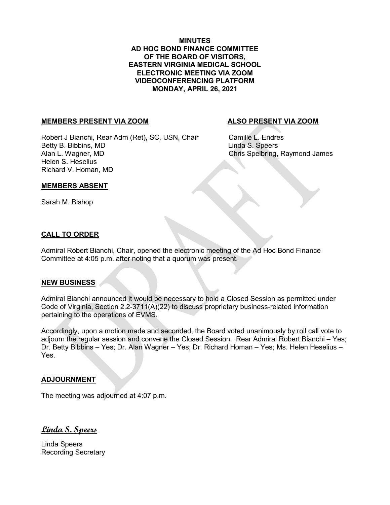**MINUTES AD HOC BOND FINANCE COMMITTEE OF THE BOARD OF VISITORS, EASTERN VIRGINIA MEDICAL SCHOOL ELECTRONIC MEETING VIA ZOOM VIDEOCONFERENCING PLATFORM MONDAY, APRIL 26, 2021**

### **MEMBERS PRESENT VIA ZOOM ALSO PRESENT VIA ZOOM**

Robert J Bianchi, Rear Adm (Ret), SC, USN, Chair Camille L. Endres Betty B. Bibbins, MD Linda S. Speers Alan L. Wagner, MD Chris Spelbring, Raymond James Helen S. Heselius Richard V. Homan, MD

## **MEMBERS ABSENT**

Sarah M. Bishop

## **CALL TO ORDER**

Admiral Robert Bianchi, Chair, opened the electronic meeting of the Ad Hoc Bond Finance Committee at 4:05 p.m. after noting that a quorum was present.

### **NEW BUSINESS**

Admiral Bianchi announced it would be necessary to hold a Closed Session as permitted under Code of Virginia, Section 2.2-3711(A)(22) to discuss proprietary business-related information pertaining to the operations of EVMS.

Accordingly, upon a motion made and seconded, the Board voted unanimously by roll call vote to adjourn the regular session and convene the Closed Session. Rear Admiral Robert Bianchi – Yes; Dr. Betty Bibbins – Yes; Dr. Alan Wagner – Yes; Dr. Richard Homan – Yes; Ms. Helen Heselius – Yes.

## **ADJOURNMENT**

The meeting was adjourned at 4:07 p.m.

**Linda S. Speers**

Linda Speers Recording Secretary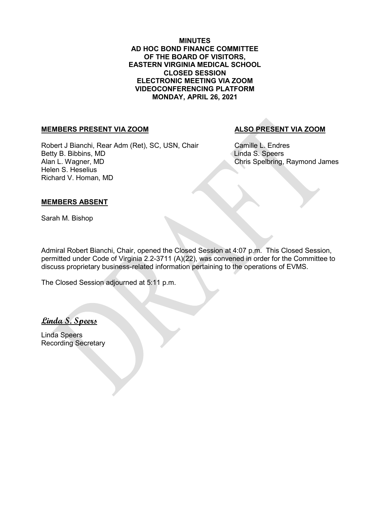**MINUTES AD HOC BOND FINANCE COMMITTEE OF THE BOARD OF VISITORS, EASTERN VIRGINIA MEDICAL SCHOOL CLOSED SESSION ELECTRONIC MEETING VIA ZOOM VIDEOCONFERENCING PLATFORM MONDAY, APRIL 26, 2021**

# **MEMBERS PRESENT VIA ZOOM ALSO PRESENT VIA ZOOM**

Robert J Bianchi, Rear Adm (Ret), SC, USN, Chair Camille L. Endres Betty B. Bibbins, MD<br>Alan L. Wagner, MD<br>Alan L. Wagner, MD Helen S. Heselius Richard V. Homan, MD

Chris Spelbring, Raymond James

# **MEMBERS ABSENT**

Sarah M. Bishop

Admiral Robert Bianchi, Chair, opened the Closed Session at 4:07 p.m. This Closed Session, permitted under Code of Virginia 2.2-3711 (A)(22), was convened in order for the Committee to discuss proprietary business-related information pertaining to the operations of EVMS.

The Closed Session adjourned at 5:11 p.m.

**Linda S. Speers**

Linda Speers Recording Secretary